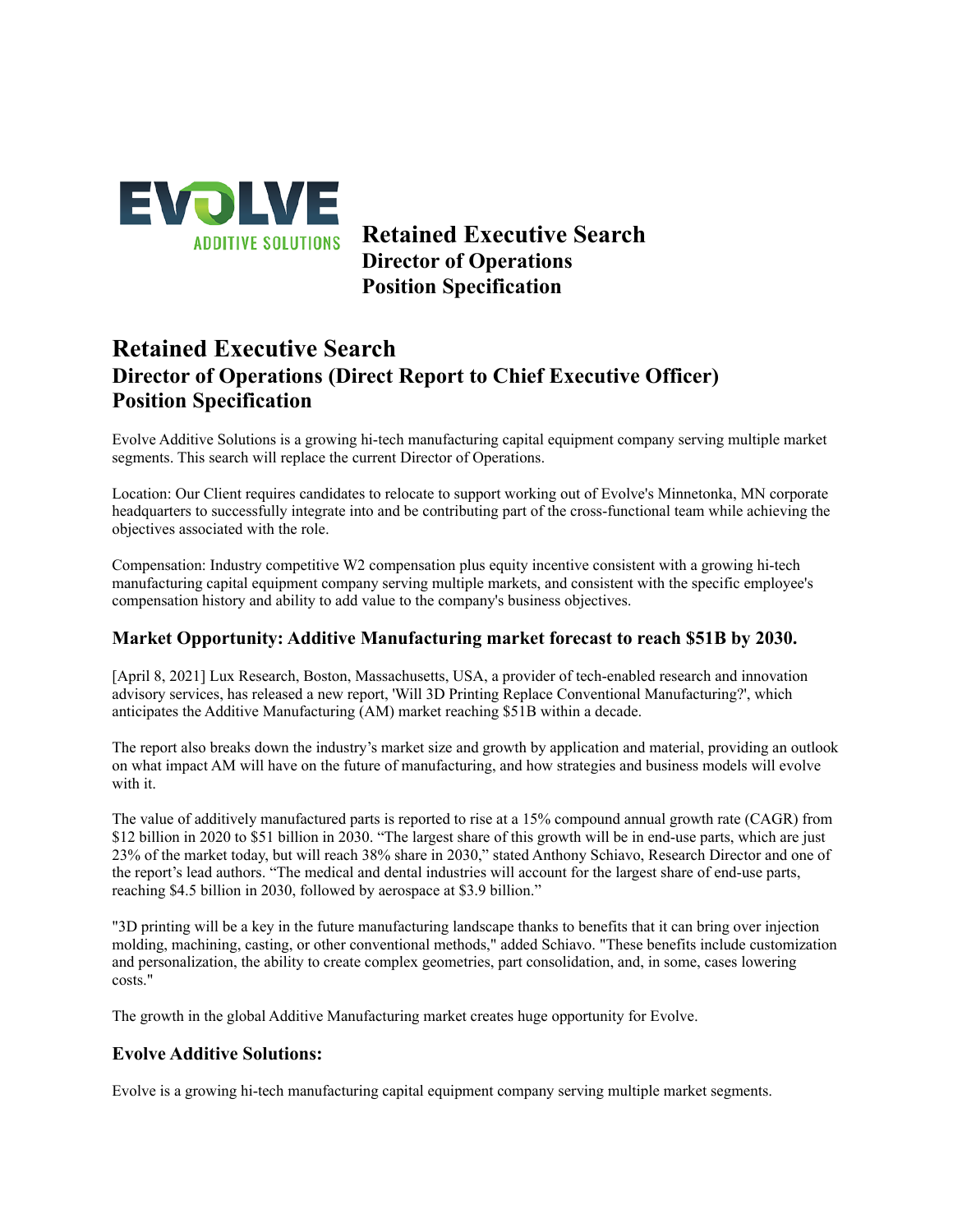

**Retained Executive Search Director of Operations Position Specification**

# **Retained Executive Search Director of Operations (Direct Report to Chief Executive Officer) Position Specification**

Evolve Additive Solutions is a growing hi-tech manufacturing capital equipment company serving multiple market segments. This search will replace the current Director of Operations.

Location: Our Client requires candidates to relocate to support working out of Evolve's Minnetonka, MN corporate headquarters to successfully integrate into and be contributing part of the cross-functional team while achieving the objectives associated with the role.

Compensation: Industry competitive W2 compensation plus equity incentive consistent with a growing hi-tech manufacturing capital equipment company serving multiple markets, and consistent with the specific employee's compensation history and ability to add value to the company's business objectives.

## **Market Opportunity: Additive Manufacturing market forecast to reach \$51B by 2030.**

[April 8, 2021] Lux Research, Boston, Massachusetts, USA, a provider of tech-enabled research and innovation advisory services, has released a new report, 'Will 3D Printing Replace Conventional Manufacturing?', which anticipates the Additive Manufacturing (AM) market reaching \$51B within a decade.

The report also breaks down the industry's market size and growth by application and material, providing an outlook on what impact AM will have on the future of manufacturing, and how strategies and business models will evolve with it.

The value of additively manufactured parts is reported to rise at a 15% compound annual growth rate (CAGR) from \$12 billion in 2020 to \$51 billion in 2030. "The largest share of this growth will be in end-use parts, which are just 23% of the market today, but will reach 38% share in 2030," stated Anthony Schiavo, Research Director and one of the report's lead authors. "The medical and dental industries will account for the largest share of end-use parts, reaching \$4.5 billion in 2030, followed by aerospace at \$3.9 billion."

"3D printing will be a key in the future manufacturing landscape thanks to benefits that it can bring over injection molding, machining, casting, or other conventional methods," added Schiavo. "These benefits include customization and personalization, the ability to create complex geometries, part consolidation, and, in some, cases lowering costs."

The growth in the global Additive Manufacturing market creates huge opportunity for Evolve.

## **Evolve Additive Solutions:**

Evolve is a growing hi-tech manufacturing capital equipment company serving multiple market segments.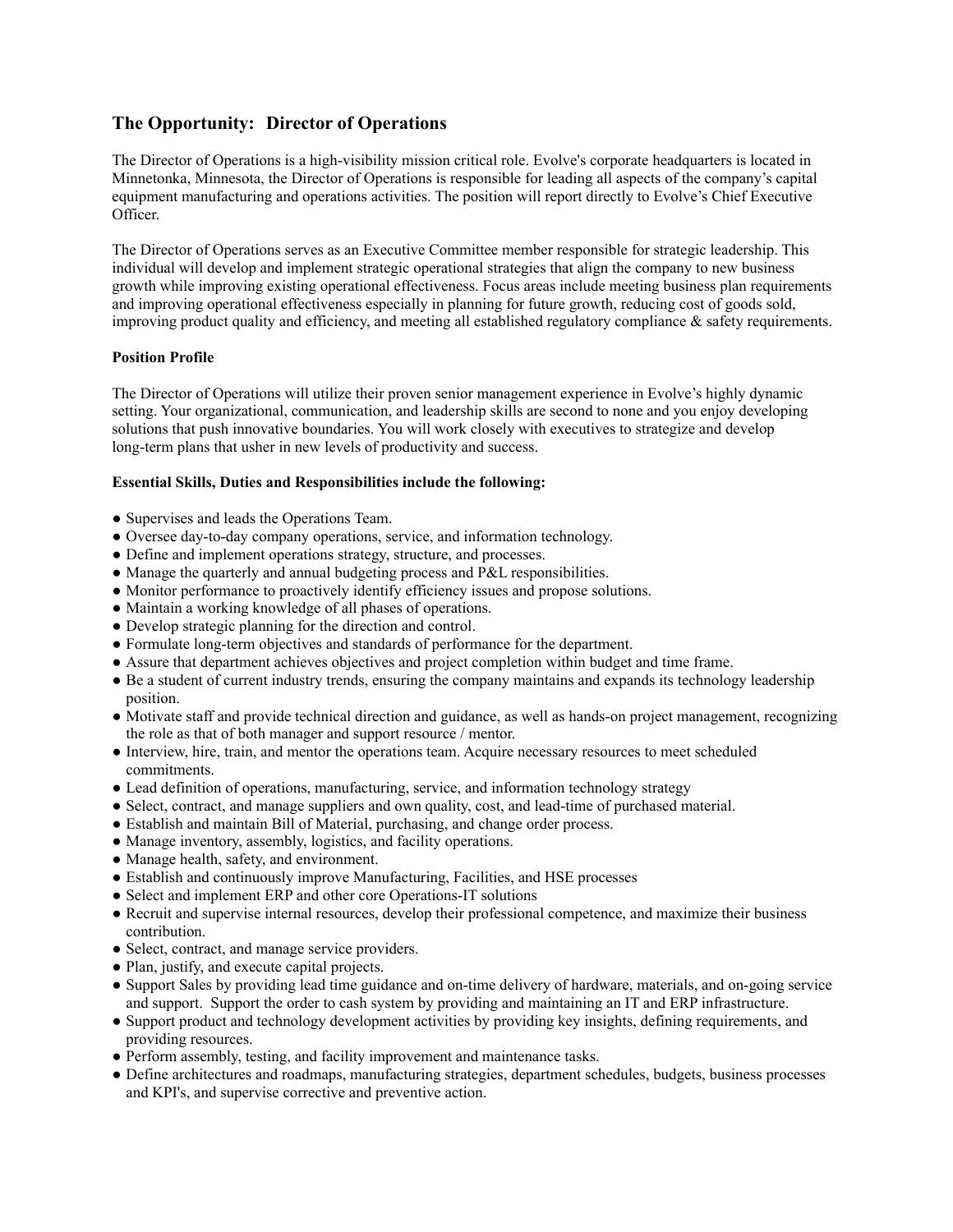## **The Opportunity: Director of Operations**

The Director of Operations is a high-visibility mission critical role. Evolve's corporate headquarters is located in Minnetonka, Minnesota, the Director of Operations is responsible for leading all aspects of the company's capital equipment manufacturing and operations activities. The position will report directly to Evolve's Chief Executive Officer.

The Director of Operations serves as an Executive Committee member responsible for strategic leadership. This individual will develop and implement strategic operational strategies that align the company to new business growth while improving existing operational effectiveness. Focus areas include meeting business plan requirements and improving operational effectiveness especially in planning for future growth, reducing cost of goods sold, improving product quality and efficiency, and meeting all established regulatory compliance  $\&$  safety requirements.

#### **Position Profile**

The Director of Operations will utilize their proven senior management experience in Evolve's highly dynamic setting. Your organizational, communication, and leadership skills are second to none and you enjoy developing solutions that push innovative boundaries. You will work closely with executives to strategize and develop long-term plans that usher in new levels of productivity and success.

#### **Essential Skills, Duties and Responsibilities include the following:**

- Supervises and leads the Operations Team.
- Oversee day-to-day company operations, service, and information technology.
- Define and implement operations strategy, structure, and processes.
- Manage the quarterly and annual budgeting process and P&L responsibilities.
- Monitor performance to proactively identify efficiency issues and propose solutions.
- Maintain a working knowledge of all phases of operations.
- Develop strategic planning for the direction and control.
- Formulate long-term objectives and standards of performance for the department.
- Assure that department achieves objectives and project completion within budget and time frame.
- Be a student of current industry trends, ensuring the company maintains and expands its technology leadership position.
- Motivate staff and provide technical direction and guidance, as well as hands-on project management, recognizing the role as that of both manager and support resource / mentor.
- Interview, hire, train, and mentor the operations team. Acquire necessary resources to meet scheduled commitments.
- Lead definition of operations, manufacturing, service, and information technology strategy
- Select, contract, and manage suppliers and own quality, cost, and lead-time of purchased material.
- Establish and maintain Bill of Material, purchasing, and change order process.
- Manage inventory, assembly, logistics, and facility operations.
- Manage health, safety, and environment.
- Establish and continuously improve Manufacturing, Facilities, and HSE processes
- Select and implement ERP and other core Operations-IT solutions
- Recruit and supervise internal resources, develop their professional competence, and maximize their business contribution.
- Select, contract, and manage service providers.
- Plan, justify, and execute capital projects.
- Support Sales by providing lead time guidance and on-time delivery of hardware, materials, and on-going service and support. Support the order to cash system by providing and maintaining an IT and ERP infrastructure.
- Support product and technology development activities by providing key insights, defining requirements, and providing resources.
- Perform assembly, testing, and facility improvement and maintenance tasks.
- Define architectures and roadmaps, manufacturing strategies, department schedules, budgets, business processes and KPI's, and supervise corrective and preventive action.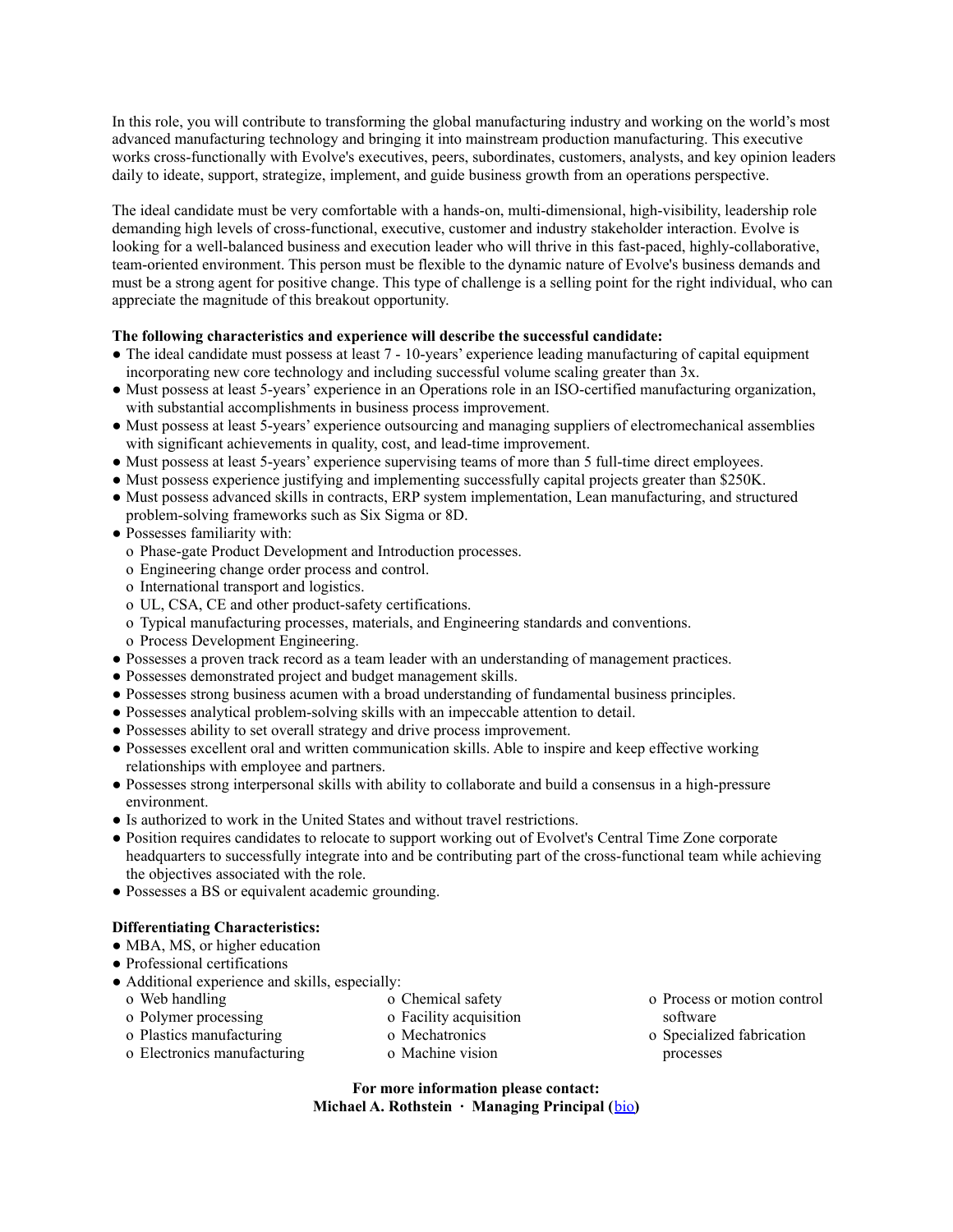In this role, you will contribute to transforming the global manufacturing industry and working on the world's most advanced manufacturing technology and bringing it into mainstream production manufacturing. This executive works cross-functionally with Evolve's executives, peers, subordinates, customers, analysts, and key opinion leaders daily to ideate, support, strategize, implement, and guide business growth from an operations perspective.

The ideal candidate must be very comfortable with a hands-on, multi-dimensional, high-visibility, leadership role demanding high levels of cross-functional, executive, customer and industry stakeholder interaction. Evolve is looking for a well-balanced business and execution leader who will thrive in this fast-paced, highly-collaborative, team-oriented environment. This person must be flexible to the dynamic nature of Evolve's business demands and must be a strong agent for positive change. This type of challenge is a selling point for the right individual, who can appreciate the magnitude of this breakout opportunity.

#### **The following characteristics and experience will describe the successful candidate:**

- The ideal candidate must possess at least 7 10-years' experience leading manufacturing of capital equipment incorporating new core technology and including successful volume scaling greater than 3x.
- Must possess at least 5-years' experience in an Operations role in an ISO-certified manufacturing organization, with substantial accomplishments in business process improvement.
- Must possess at least 5-years' experience outsourcing and managing suppliers of electromechanical assemblies with significant achievements in quality, cost, and lead-time improvement.
- Must possess at least 5-years' experience supervising teams of more than 5 full-time direct employees.
- Must possess experience justifying and implementing successfully capital projects greater than \$250K.
- Must possess advanced skills in contracts, ERP system implementation, Lean manufacturing, and structured problem-solving frameworks such as Six Sigma or 8D.
- Possesses familiarity with:
	- o Phase-gate Product Development and Introduction processes.
	- o Engineering change order process and control.
	- o International transport and logistics.
	- o UL, CSA, CE and other product-safety certifications.
	- o Typical manufacturing processes, materials, and Engineering standards and conventions.
	- o Process Development Engineering.
- Possesses a proven track record as a team leader with an understanding of management practices.
- Possesses demonstrated project and budget management skills.
- Possesses strong business acumen with a broad understanding of fundamental business principles.
- Possesses analytical problem-solving skills with an impeccable attention to detail.
- Possesses ability to set overall strategy and drive process improvement.
- Possesses excellent oral and written communication skills. Able to inspire and keep effective working relationships with employee and partners.
- Possesses strong interpersonal skills with ability to collaborate and build a consensus in a high-pressure environment.
- Is authorized to work in the United States and without travel restrictions.
- Position requires candidates to relocate to support working out of Evolvet's Central Time Zone corporate headquarters to successfully integrate into and be contributing part of the cross-functional team while achieving the objectives associated with the role.
- Possesses a BS or equivalent academic grounding.

#### **Differentiating Characteristics:**

- MBA, MS, or higher education
- Professional certifications
- Additional experience and skills, especially:
	- o Web handling
- o Chemical safety
- o Polymer processing
- o Facility acquisition
- o Plastics manufacturing
- 
- o Electronics manufacturing
- o Mechatronics
- o Machine vision
- o Process or motion control software
- o Specialized fabrication processes
- **For more information please contact: Michael A. Rothstein ∙ Managing Principal (**[bio](http://www.executive-advantage.com/leadership-team-michael-rothstein.html)**)**